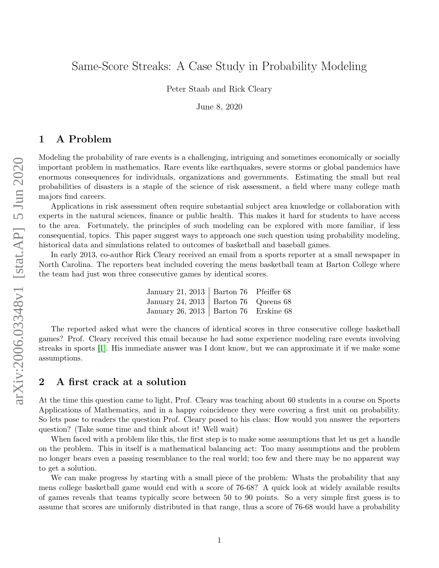# Same-Score Streaks: A Case Study in Probability Modeling

Peter Staab and Rick Cleary

June 8, 2020

## 1 A Problem

Modeling the probability of rare events is a challenging, intriguing and sometimes economically or socially important problem in mathematics. Rare events like earthquakes, severe storms or global pandemics have enormous consequences for individuals, organizations and governments. Estimating the small but real probabilities of disasters is a staple of the science of risk assessment, a field where many college math majors find careers.

Applications in risk assessment often require substantial subject area knowledge or collaboration with experts in the natural sciences, finance or public health. This makes it hard for students to have access to the area. Fortunately, the principles of such modeling can be explored with more familiar, if less consequential, topics. This paper suggest ways to approach one such question using probability modeling, historical data and simulations related to outcomes of basketball and baseball games.

In early 2013, co-author Rick Cleary received an email from a sports reporter at a small newspaper in North Carolina. The reporters beat included covering the mens basketball team at Barton College where the team had just won three consecutive games by identical scores.

| January 21, 2013   Barton 76 Pfeiffer 68 |  |
|------------------------------------------|--|
| January 24, 2013   Barton 76 Queens 68   |  |
| January 26, 2013   Barton 76 Erskine 68  |  |

The reported asked what were the chances of identical scores in three consecutive college basketball games? Prof. Cleary received this email because he had some experience modeling rare events involving streaks in sports [\[1\]](#page-9-0). His immediate answer was I dont know, but we can approximate it if we make some assumptions.

### 2 A first crack at a solution

At the time this question came to light, Prof. Cleary was teaching about 60 students in a course on Sports Applications of Mathematics, and in a happy coincidence they were covering a first unit on probability. So lets pose to readers the question Prof. Cleary posed to his class: How would you answer the reporters question? (Take some time and think about it! Well wait)

When faced with a problem like this, the first step is to make some assumptions that let us get a handle on the problem. This in itself is a mathematical balancing act: Too many assumptions and the problem no longer bears even a passing resemblance to the real world; too few and there may be no apparent way to get a solution.

We can make progress by starting with a small piece of the problem: Whats the probability that any mens college basketball game would end with a score of 76-68? A quick look at widely available results of games reveals that teams typically score between 50 to 90 points. So a very simple first guess is to assume that scores are uniformly distributed in that range, thus a score of 76-68 would have a probability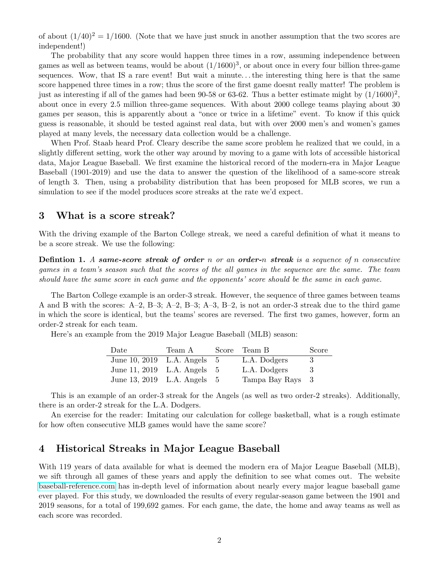of about  $(1/40)^2 = 1/1600$ . (Note that we have just snuck in another assumption that the two scores are independent!)

The probability that any score would happen three times in a row, assuming independence between games as well as between teams, would be about  $(1/1600)^3$ , or about once in every four billion three-game sequences. Wow, that IS a rare event! But wait a minute. . . the interesting thing here is that the same score happened three times in a row; thus the score of the first game doesnt really matter! The problem is just as interesting if all of the games had been 90-58 or 63-62. Thus a better estimate might by  $(1/1600)^2$ , about once in every 2.5 million three-game sequences. With about 2000 college teams playing about 30 games per season, this is apparently about a "once or twice in a lifetime" event. To know if this quick guess is reasonable, it should be tested against real data, but with over 2000 men's and women's games played at many levels, the necessary data collection would be a challenge.

When Prof. Staab heard Prof. Cleary describe the same score problem he realized that we could, in a slightly different setting, work the other way around by moving to a game with lots of accessible historical data, Major League Baseball. We first examine the historical record of the modern-era in Major League Baseball (1901-2019) and use the data to answer the question of the likelihood of a same-score streak of length 3. Then, using a probability distribution that has been proposed for MLB scores, we run a simulation to see if the model produces score streaks at the rate we'd expect.

### 3 What is a score streak?

With the driving example of the Barton College streak, we need a careful definition of what it means to be a score streak. We use the following:

**Defintion 1.** A same-score streak of order n or an order-n streak is a sequence of n consecutive games in a team's season such that the scores of the all games in the sequence are the same. The team should have the same score in each game and the opponents' score should be the same in each game.

The Barton College example is an order-3 streak. However, the sequence of three games between teams A and B with the scores: A–2, B–3; A–2, B–3; A–3, B–2, is not an order-3 streak due to the third game in which the score is identical, but the teams' scores are reversed. The first two games, however, form an order-2 streak for each team.

Here's an example from the 2019 Major League Baseball (MLB) season:

| Date                        | Team A | Score Team B     | Score |
|-----------------------------|--------|------------------|-------|
| June 10, 2019 L.A. Angels 5 |        | L.A. Dodgers     |       |
| June 11, 2019 L.A. Angels 5 |        | L.A. Dodgers     | - 3   |
| June 13, 2019 L.A. Angels 5 |        | Tampa Bay Rays 3 |       |

This is an example of an order-3 streak for the Angels (as well as two order-2 streaks). Additionally, there is an order-2 streak for the L.A. Dodgers.

An exercise for the reader: Imitating our calculation for college basketball, what is a rough estimate for how often consecutive MLB games would have the same score?

## 4 Historical Streaks in Major League Baseball

With 119 years of data available for what is deemed the modern era of Major League Baseball (MLB), we sift through all games of these years and apply the definition to see what comes out. The website [baseball-reference.com](http://baseball-reference.com) has in-depth level of information about nearly every major league baseball game ever played. For this study, we downloaded the results of every regular-season game between the 1901 and 2019 seasons, for a total of 199,692 games. For each game, the date, the home and away teams as well as each score was recorded.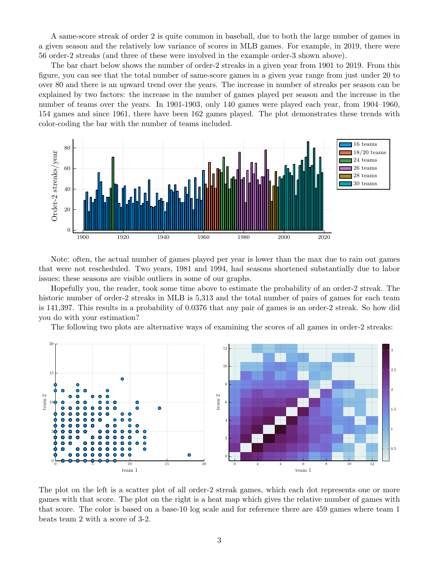A same-score streak of order 2 is quite common in baseball, due to both the large number of games in a given season and the relatively low variance of scores in MLB games. For example, in 2019, there were 56 order-2 streaks (and three of these were involved in the example order-3 shown above).

The bar chart below shows the number of order-2 streaks in a given year from 1901 to 2019. From this figure, you can see that the total number of same-score games in a given year range from just under 20 to over 80 and there is an upward trend over the years. The increase in number of streaks per season can be explained by two factors: the increase in the number of games played per season and the increase in the number of teams over the years. In 1901-1903, only 140 games were played each year, from 1904–1960, 154 games and since 1961, there have been 162 games played. The plot demonstrates these trends with color-coding the bar with the number of teams included.



Note: often, the actual number of games played per year is lower than the max due to rain out games that were not rescheduled. Two years, 1981 and 1994, had seasons shortened substantially due to labor issues; these seasons are visible outliers in some of our graphs.

Hopefully you, the reader, took some time above to estimate the probability of an order-2 streak. The historic number of order-2 streaks in MLB is 5,313 and the total number of pairs of games for each team is 141,397. This results in a probability of 0.0376 that any pair of games is an order-2 streak. So how did you do with your estimation?

The following two plots are alternative ways of examining the scores of all games in order-2 streaks:



The plot on the left is a scatter plot of all order-2 streak games, which each dot represents one or more games with that score. The plot on the right is a heat map which gives the relative number of games with that score. The color is based on a base-10 log scale and for reference there are 459 games where team 1 beats team 2 with a score of 3-2.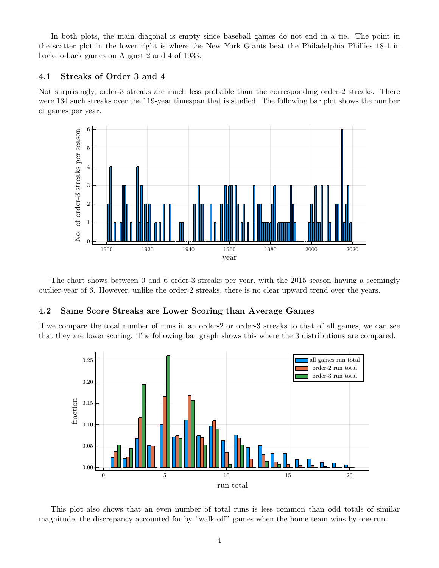In both plots, the main diagonal is empty since baseball games do not end in a tie. The point in the scatter plot in the lower right is where the New York Giants beat the Philadelphia Phillies 18-1 in back-to-back games on August 2 and 4 of 1933.

#### 4.1 Streaks of Order 3 and 4

Not surprisingly, order-3 streaks are much less probable than the corresponding order-2 streaks. There were 134 such streaks over the 119-year timespan that is studied. The following bar plot shows the number of games per year.



The chart shows between 0 and 6 order-3 streaks per year, with the 2015 season having a seemingly outlier-year of 6. However, unlike the order-2 streaks, there is no clear upward trend over the years.

#### 4.2 Same Score Streaks are Lower Scoring than Average Games

If we compare the total number of runs in an order-2 or order-3 streaks to that of all games, we can see that they are lower scoring. The following bar graph shows this where the 3 distributions are compared.



This plot also shows that an even number of total runs is less common than odd totals of similar magnitude, the discrepancy accounted for by "walk-off" games when the home team wins by one-run.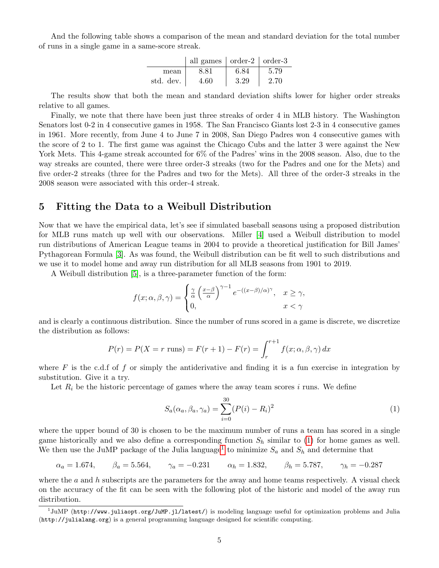And the following table shows a comparison of the mean and standard deviation for the total number of runs in a single game in a same-score streak.

|           | all games $\vert$ order-2 $\vert$ order-3 |      |      |
|-----------|-------------------------------------------|------|------|
| mean      | 8.81                                      | 6.84 | 5.79 |
| std. dev. | 4.60                                      | 3.29 | 2.70 |

The results show that both the mean and standard deviation shifts lower for higher order streaks relative to all games.

Finally, we note that there have been just three streaks of order 4 in MLB history. The Washington Senators lost 0-2 in 4 consecutive games in 1958. The San Francisco Giants lost 2-3 in 4 consecutive games in 1961. More recently, from June 4 to June 7 in 2008, San Diego Padres won 4 consecutive games with the score of 2 to 1. The first game was against the Chicago Cubs and the latter 3 were against the New York Mets. This 4-game streak accounted for  $6\%$  of the Padres' wins in the 2008 season. Also, due to the way streaks are counted, there were three order-3 streaks (two for the Padres and one for the Mets) and five order-2 streaks (three for the Padres and two for the Mets). All three of the order-3 streaks in the 2008 season were associated with this order-4 streak.

## <span id="page-4-2"></span>5 Fitting the Data to a Weibull Distribution

Now that we have the empirical data, let's see if simulated baseball seasons using a proposed distribution for MLB runs match up well with our observations. Miller [\[4\]](#page-9-1) used a Weibull distribution to model run distributions of American League teams in 2004 to provide a theoretical justification for Bill James' Pythagorean Formula [\[3\]](#page-9-2). As was found, the Weibull distribution can be fit well to such distributions and we use it to model home and away run distribution for all MLB seasons from 1901 to 2019.

A Weibull distribution [\[5\]](#page-9-3), is a three-parameter function of the form:

$$
f(x; \alpha, \beta, \gamma) = \begin{cases} \frac{\gamma}{\alpha} \left(\frac{x-\beta}{\alpha}\right)^{\gamma-1} e^{-((x-\beta)/\alpha)^{\gamma}}, & x \ge \gamma, \\ 0, & x < \gamma \end{cases}
$$

and is clearly a continuous distribution. Since the number of runs scored in a game is discrete, we discretize the distribution as follows:

$$
P(r) = P(X = r \text{ runs}) = F(r + 1) - F(r) = \int_{r}^{r+1} f(x; \alpha, \beta, \gamma) dx
$$

where  $F$  is the c.d.f of f or simply the antiderivative and finding it is a fun exercise in integration by substitution. Give it a try.

Let  $R_i$  be the historic percentage of games where the away team scores i runs. We define

<span id="page-4-0"></span>
$$
S_a(\alpha_a, \beta_a, \gamma_a) = \sum_{i=0}^{30} (P(i) - R_i)^2
$$
 (1)

where the upper bound of 30 is chosen to be the maximum number of runs a team has scored in a single game historically and we also define a corresponding function  $S_h$  similar to [\(1\)](#page-4-0) for home games as well. We then use the JuMP package of the Julia language<sup>[1](#page-4-1)</sup> to minimize  $S_a$  and  $S_h$  and determine that

$$
\alpha_a = 1.674,
$$
\n $\beta_a = 5.564,$ \n $\gamma_a = -0.231$ \n $\alpha_h = 1.832,$ \n $\beta_h = 5.787,$ \n $\gamma_h = -0.287$ 

where the  $a$  and  $h$  subscripts are the parameters for the away and home teams respectively. A visual check on the accuracy of the fit can be seen with the following plot of the historic and model of the away run distribution.

<span id="page-4-1"></span> $^1$ JuMP (http://www.juliaopt.org/JuMP.jl/latest/) is modeling language useful for optimization problems and Julia (http://julialang.org) is a general programming language designed for scientific computing.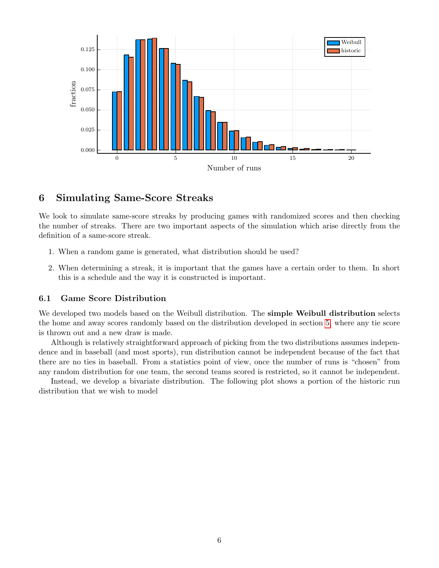

## 6 Simulating Same-Score Streaks

We look to simulate same-score streaks by producing games with randomized scores and then checking the number of streaks. There are two important aspects of the simulation which arise directly from the definition of a same-score streak.

- 1. When a random game is generated, what distribution should be used?
- 2. When determining a streak, it is important that the games have a certain order to them. In short this is a schedule and the way it is constructed is important.

#### 6.1 Game Score Distribution

We developed two models based on the Weibull distribution. The **simple Weibull distribution** selects the home and away scores randomly based on the distribution developed in section [5,](#page-4-2) where any tie score is thrown out and a new draw is made.

Although is relatively straightforward approach of picking from the two distributions assumes independence and in baseball (and most sports), run distribution cannot be independent because of the fact that there are no ties in baseball. From a statistics point of view, once the number of runs is "chosen" from any random distribution for one team, the second teams scored is restricted, so it cannot be independent.

Instead, we develop a bivariate distribution. The following plot shows a portion of the historic run distribution that we wish to model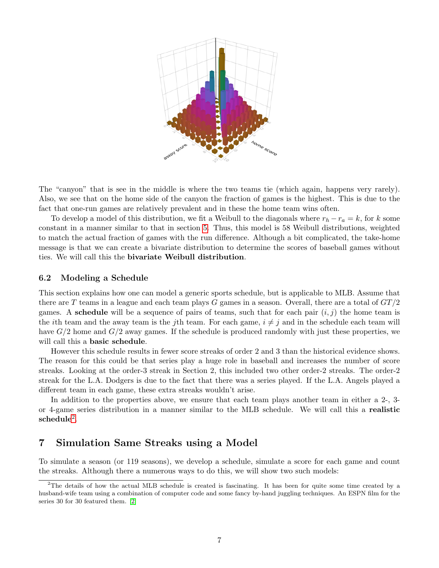

The "canyon" that is see in the middle is where the two teams tie (which again, happens very rarely). Also, we see that on the home side of the canyon the fraction of games is the highest. This is due to the fact that one-run games are relatively prevalent and in these the home team wins often.

To develop a model of this distribution, we fit a Weibull to the diagonals where  $r_h - r_a = k$ , for k some constant in a manner similar to that in section [5.](#page-4-2) Thus, this model is 58 Weibull distributions, weighted to match the actual fraction of games with the run difference. Although a bit complicated, the take-home message is that we can create a bivariate distribution to determine the scores of baseball games without ties. We will call this the bivariate Weibull distribution.

#### 6.2 Modeling a Schedule

This section explains how one can model a generic sports schedule, but is applicable to MLB. Assume that there are T teams in a league and each team plays G games in a season. Overall, there are a total of  $GT/2$ games. A **schedule** will be a sequence of pairs of teams, such that for each pair  $(i, j)$  the home team is the *i*th team and the away team is the *j*th team. For each game,  $i \neq j$  and in the schedule each team will have  $G/2$  home and  $G/2$  away games. If the schedule is produced randomly with just these properties, we will call this a **basic schedule**.

However this schedule results in fewer score streaks of order 2 and 3 than the historical evidence shows. The reason for this could be that series play a huge role in baseball and increases the number of score streaks. Looking at the order-3 streak in Section 2, this included two other order-2 streaks. The order-2 streak for the L.A. Dodgers is due to the fact that there was a series played. If the L.A. Angels played a different team in each game, these extra streaks wouldn't arise.

In addition to the properties above, we ensure that each team plays another team in either a 2-, 3or 4-game series distribution in a manner similar to the MLB schedule. We will call this a realistic  $\mathrm{schedule}^2.$  $\mathrm{schedule}^2.$  $\mathrm{schedule}^2.$ 

## 7 Simulation Same Streaks using a Model

To simulate a season (or 119 seasons), we develop a schedule, simulate a score for each game and count the streaks. Although there a numerous ways to do this, we will show two such models:

<span id="page-6-0"></span><sup>&</sup>lt;sup>2</sup>The details of how the actual MLB schedule is created is fascinating. It has been for quite some time created by a husband-wife team using a combination of computer code and some fancy by-hand juggling techniques. An ESPN film for the series 30 for 30 featured them. [\[2\]](#page-9-4)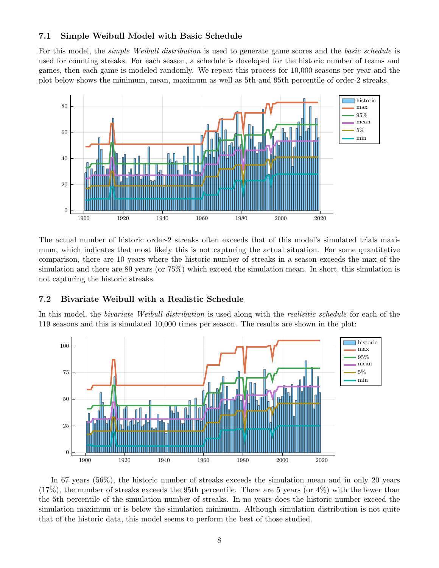#### 7.1 Simple Weibull Model with Basic Schedule

For this model, the *simple Weibull distribution* is used to generate game scores and the *basic schedule* is used for counting streaks. For each season, a schedule is developed for the historic number of teams and games, then each game is modeled randomly. We repeat this process for 10,000 seasons per year and the plot below shows the minimum, mean, maximum as well as 5th and 95th percentile of order-2 streaks.



The actual number of historic order-2 streaks often exceeds that of this model's simulated trials maximum, which indicates that most likely this is not capturing the actual situation. For some quantitative comparison, there are 10 years where the historic number of streaks in a season exceeds the max of the simulation and there are 89 years (or 75%) which exceed the simulation mean. In short, this simulation is not capturing the historic streaks.

#### 7.2 Bivariate Weibull with a Realistic Schedule

In this model, the *bivariate Weibull distribution* is used along with the *realisitic schedule* for each of the 119 seasons and this is simulated 10,000 times per season. The results are shown in the plot:



In 67 years (56%), the historic number of streaks exceeds the simulation mean and in only 20 years  $(17\%)$ , the number of streaks exceeds the 95th percentile. There are 5 years (or  $4\%$ ) with the fewer than the 5th percentile of the simulation number of streaks. In no years does the historic number exceed the simulation maximum or is below the simulation minimum. Although simulation distribution is not quite that of the historic data, this model seems to perform the best of those studied.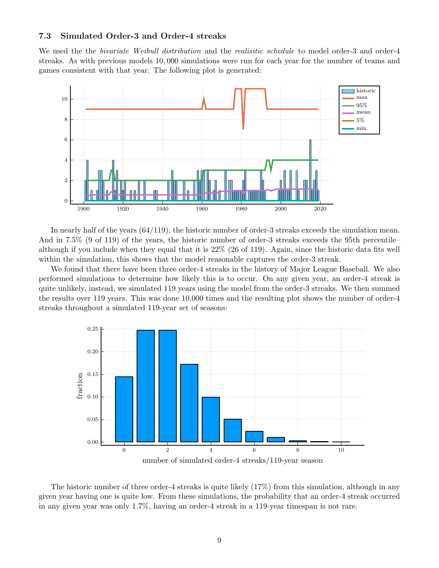### 7.3 Simulated Order-3 and Order-4 streaks

We used the the *bivariate Weibull distribution* and the *realisitic schedule* to model order-3 and order-4 streaks. As with previous models 10, 000 simulations were run for each year for the number of teams and games consistent with that year. The following plot is generated:



In nearly half of the years (64/119), the historic number of order-3 streaks exceeds the simulation mean. And in 7.5% (9 of 119) of the years, the historic number of order-3 streaks exceeds the 95th percentile– although if you include when they equal that it is 22% (26 of 119). Again, since the historic data fits well within the simulation, this shows that the model reasonable captures the order-3 streak.

We found that there have been three order-4 streaks in the history of Major League Baseball. We also performed simulations to determine how likely this is to occur. On any given year, an order-4 streak is quite unlikely, instead, we simulated 119 years using the model from the order-3 streaks. We then summed the results over 119 years. This was done 10,000 times and the resulting plot shows the number of order-4 streaks throughout a simulated 119-year set of seasons:



The historic number of three order-4 streaks is quite likely (17%) from this simulation, although in any given year having one is quite low. From these simulations, the probability that an order-4 streak occurred in any given year was only 1.7%, having an order-4 streak in a 119-year timespan is not rare.